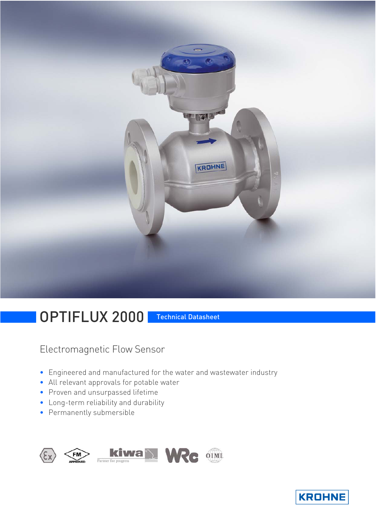

# OPTIFLUX 2000 Technical Datasheet

## Electromagnetic Flow Sensor

- Engineered and manufactured for the water and wastewater industry
- All relevant approvals for potable water
- Proven and unsurpassed lifetime
- Long-term reliability and durability
- Permanently submersible



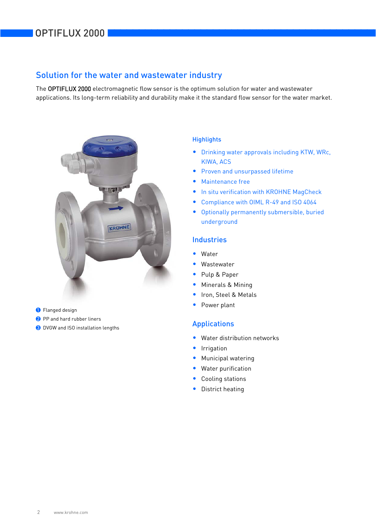## OPTIFLUX 2000 I

## Solution for the water and wastewater industry

The OPTIFLUX 2000 electromagnetic flow sensor is the optimum solution for water and wastewater applications. Its long-term reliability and durability make it the standard flow sensor for the water market.



#### <sup>1</sup> Flanged design

- 2 PP and hard rubber liners
- <sup>3</sup> DVGW and ISO installation lengths

#### **Highlights**

- Drinking water approvals including KTW, WRc, KIWA, ACS
- Proven and unsurpassed lifetime
- Maintenance free
- In situ verification with KROHNE MagCheck
- Compliance with OIML R-49 and ISO 4064
- Optionally permanently submersible, buried underground

#### Industries

- Water
- **Wastewater**
- Pulp & Paper
- Minerals & Mining
- Iron, Steel & Metals
- Power plant

#### Applications

- Water distribution networks
- Irrigation
- Municipal watering
- Water purification
- Cooling stations
- District heating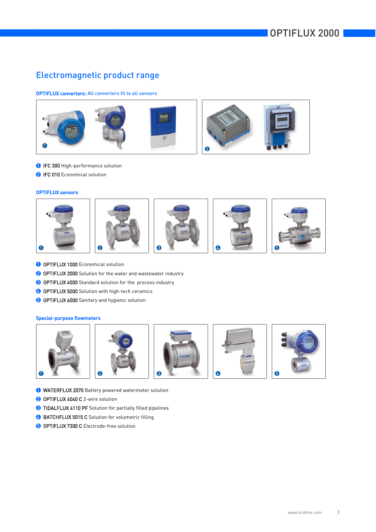## Electromagnetic product range

#### OPTIFLUX converters: All converters fit to all sensors



- **1 IFC 300 High-performance solution**
- **2** IFC 010 Economical solution

#### OPTIFLUX sensors



- **1 OPTIFLUX 1000** Economical solution
- <sup>2</sup> OPTIFLUX 2000 Solution for the water and wastewater industry
- <sup>3</sup> OPTIFLUX 4000 Standard solution for the process industry
- **4 OPTIFLUX 5000** Solution with high-tech ceramics
- **6** OPTIFLUX 6000 Sanitary and hygienic solution

#### Special-purpose flowmeters

 $\bullet$ 







- **1** WATERFLUX 2070 Battery powered watermeter solution
- **2 OPTIFLUX 4040 C** 2-wire solution
- <sup>3</sup> TIDALFLUX 4110 PF Solution for partially filled pipelines
- **4** BATCHFLUX 5015 C Solution for volumetric filling
- **6** OPTIFLUX 7300 C Electrode-free solution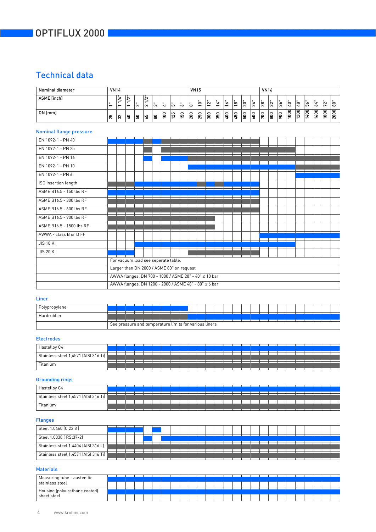## Technical data

| Nominal diameter | <b>VN14</b>    |           |              |              |                       |   |                          |                                                              |                     | <b>VN15</b> |                               |                          |                               |                               |                                      |        |                         | <b>VN16</b>             |                                |             |                                    |                                                              |                                                     |                                               |                                         |                                         |
|------------------|----------------|-----------|--------------|--------------|-----------------------|---|--------------------------|--------------------------------------------------------------|---------------------|-------------|-------------------------------|--------------------------|-------------------------------|-------------------------------|--------------------------------------|--------|-------------------------|-------------------------|--------------------------------|-------------|------------------------------------|--------------------------------------------------------------|-----------------------------------------------------|-----------------------------------------------|-----------------------------------------|-----------------------------------------|
| ASME [inch]      | $\overline{ }$ | ↽         | $\sim$<br>↽  | $\sim$       | $\sim$<br>-<br>$\sim$ | ო | ◅                        | LO.                                                          | ╰                   | $\infty$    | o<br>$\overline{\phantom{0}}$ | $\sim$<br>$\overline{ }$ | ы<br>$\overline{\phantom{0}}$ | ╰<br>$\overline{\phantom{0}}$ | $\infty$<br>$\overline{\phantom{0}}$ | ສ      | ≺<br>$\sim$             | $\infty$<br>$\sim$      | $\sim$<br>ო                    | ╰<br>ო      | $\circ$<br>$\mathbf{r}$            | $\infty$<br>M                                                | ╰<br>5                                              | ◅<br>╰                                        | $\sim$<br>∼                             | c<br>$\infty$                           |
| $DN$ [mm]        | 25             | $\approx$ | $\circ$<br>N | $\circ$<br>Ю | 5<br>∾                | 8 | ∊<br>ᅙ<br>$\overline{ }$ | <u> מו</u><br>$\bar{\mathbf{N}}$<br>$\overline{\phantom{0}}$ | $\circ$<br>LO.<br>- | 200         | 250                           | c<br>l a                 | $\circ$<br>叼<br>ო             | 0<br>$\circ$<br>÷             | 0<br>叼<br>$\mathbf{H}$               | 0<br>읎 | c<br>$\mathbf{C}$<br>×0 | $\circ$<br>$\circ$<br>∼ | $\circ$<br>$\circ$<br>$\infty$ | 0<br>ò<br>ົ | c<br>8<br>$\overline{\phantom{0}}$ | c<br>$\mathbf{\Omega}$<br>$\sim$<br>$\overline{\phantom{0}}$ | $\circ$<br>$\circ$<br>◅<br>$\overline{\phantom{0}}$ | 0<br>$\circ$<br>╰<br>$\overline{\phantom{0}}$ | 0<br>0<br>ౚ<br>$\overline{\phantom{0}}$ | $\circ$<br>$\circ$<br>$\circ$<br>$\sim$ |

#### Nominal flange pressure

| EN 1092-1 - PN 40        |                                                       |  |  |  |  |  |  |  |  |  |  |  |
|--------------------------|-------------------------------------------------------|--|--|--|--|--|--|--|--|--|--|--|
| EN 1092-1 - PN 25        |                                                       |  |  |  |  |  |  |  |  |  |  |  |
| EN 1092-1 - PN 16        |                                                       |  |  |  |  |  |  |  |  |  |  |  |
| EN 1092-1 - PN 10        |                                                       |  |  |  |  |  |  |  |  |  |  |  |
| EN 1092-1 - PN 6         |                                                       |  |  |  |  |  |  |  |  |  |  |  |
| ISO insertion length     |                                                       |  |  |  |  |  |  |  |  |  |  |  |
| ASME B16.5 - 150 lbs RF  |                                                       |  |  |  |  |  |  |  |  |  |  |  |
| ASME B16.5 - 300 lbs RF  |                                                       |  |  |  |  |  |  |  |  |  |  |  |
| ASME B16.5 - 600 lbs RF  |                                                       |  |  |  |  |  |  |  |  |  |  |  |
| ASME B16.5 - 900 lbs RF  |                                                       |  |  |  |  |  |  |  |  |  |  |  |
| ASME B16.5 - 1500 lbs RF |                                                       |  |  |  |  |  |  |  |  |  |  |  |
| AWWA - class B or D FF   |                                                       |  |  |  |  |  |  |  |  |  |  |  |
| <b>JIS 10 K</b>          |                                                       |  |  |  |  |  |  |  |  |  |  |  |
| <b>JIS 20 K</b>          |                                                       |  |  |  |  |  |  |  |  |  |  |  |
|                          | For vacuum load see seperate table.                   |  |  |  |  |  |  |  |  |  |  |  |
|                          | Larger than DN 2000 / ASME 80" on request             |  |  |  |  |  |  |  |  |  |  |  |
|                          | AWWA flanges, DN 700 - 1000 / ASME 28" - 40" ≤ 10 bar |  |  |  |  |  |  |  |  |  |  |  |
|                          | AWWA flanges, DN 1200 - 2000 / ASME 48" - 80" ≤ 6 bar |  |  |  |  |  |  |  |  |  |  |  |

#### Liner

| Polypropylene |  |  |  |  |  |                                                        |  |  |  |  |  |  |  |
|---------------|--|--|--|--|--|--------------------------------------------------------|--|--|--|--|--|--|--|
|               |  |  |  |  |  |                                                        |  |  |  |  |  |  |  |
| Hardrubber    |  |  |  |  |  |                                                        |  |  |  |  |  |  |  |
|               |  |  |  |  |  |                                                        |  |  |  |  |  |  |  |
|               |  |  |  |  |  | See pressure and temperature limits for various liners |  |  |  |  |  |  |  |

#### Electrodes

| Hastelloy C4                         |  |  |  |  |  |  |  |  |  |  |  |  |  |
|--------------------------------------|--|--|--|--|--|--|--|--|--|--|--|--|--|
|                                      |  |  |  |  |  |  |  |  |  |  |  |  |  |
| Stainless steel 1,4571 (AISI 316 Ti) |  |  |  |  |  |  |  |  |  |  |  |  |  |
|                                      |  |  |  |  |  |  |  |  |  |  |  |  |  |
|                                      |  |  |  |  |  |  |  |  |  |  |  |  |  |
|                                      |  |  |  |  |  |  |  |  |  |  |  |  |  |
| Titanium                             |  |  |  |  |  |  |  |  |  |  |  |  |  |
|                                      |  |  |  |  |  |  |  |  |  |  |  |  |  |

#### Grounding rings

| Hastelloy C4                         |  |  |  |  |  |  |  |  |  |  |  |  |  |
|--------------------------------------|--|--|--|--|--|--|--|--|--|--|--|--|--|
|                                      |  |  |  |  |  |  |  |  |  |  |  |  |  |
| Stainless steel 1,4571 (AISI 316 Ti) |  |  |  |  |  |  |  |  |  |  |  |  |  |
|                                      |  |  |  |  |  |  |  |  |  |  |  |  |  |
| Titanium                             |  |  |  |  |  |  |  |  |  |  |  |  |  |

#### Flanges

| Steel 1.0460 (C 22.8)                |  |  |  |  |  |  |  |  |  |  |  |  |  |
|--------------------------------------|--|--|--|--|--|--|--|--|--|--|--|--|--|
| Steel 1.0038 [RSt37-2]               |  |  |  |  |  |  |  |  |  |  |  |  |  |
| Stainless steel 1.4404 (AISI 316 L)  |  |  |  |  |  |  |  |  |  |  |  |  |  |
| Stainless steel 1.4571 (AISI 316 Ti) |  |  |  |  |  |  |  |  |  |  |  |  |  |

#### Materials

| ' Measuring tube - austenitic |  |  |  |  |  |  |  |  |  |  |  |  |  |
|-------------------------------|--|--|--|--|--|--|--|--|--|--|--|--|--|
| stainless steel               |  |  |  |  |  |  |  |  |  |  |  |  |  |
| Housing (polyurethane coated) |  |  |  |  |  |  |  |  |  |  |  |  |  |
| sheet steel                   |  |  |  |  |  |  |  |  |  |  |  |  |  |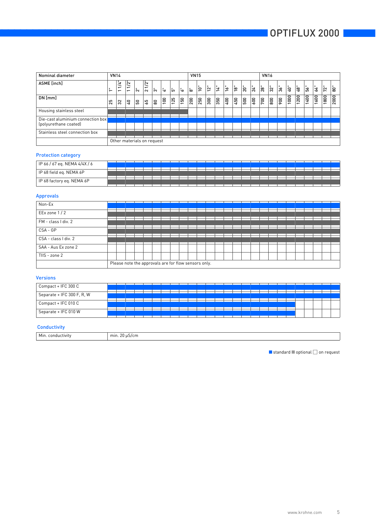| Nominal diameter                  |    | <b>VN14</b>                                      |                                                                                 |              |                         |                            |     |     |      | <b>VN15</b> |           |                   |               |                            |     |     |     | <b>VN16</b> |     |     |      |                       |                                 |                                 |                            |      |
|-----------------------------------|----|--------------------------------------------------|---------------------------------------------------------------------------------|--------------|-------------------------|----------------------------|-----|-----|------|-------------|-----------|-------------------|---------------|----------------------------|-----|-----|-----|-------------|-----|-----|------|-----------------------|---------------------------------|---------------------------------|----------------------------|------|
| ASME [inch]                       | -  | યુ<br>$\overline{ }$<br>$\overline{\phantom{0}}$ | $\mathcal{L}^{\bullet}$<br>$\overline{\phantom{0}}$<br>$\overline{\phantom{0}}$ | $\bar{\sim}$ | $\frac{1}{2}$<br>$\sim$ | ໍ່ຕ                        | ١į. | 的   | ' సం | ' ఙ         | $10^{-4}$ | Ξ.<br>$\tilde{c}$ | $\frac{1}{4}$ | $\overline{\phantom{a}}^1$ | 18" | 20" | 24  | 28"         | 32" | 36" | 40"  | ်ဆွ                   | 56"                             | ائي.<br>وف                      | $\ddot{\phantom{a}}$<br>Ż, | នៃ   |
| DN [mm]                           | 25 | 32                                               | ੩                                                                               | ន            | 59                      | ា<br>ខ                     | 100 | 125 | 150  | 200         | 250       | 300               | 350           | 400                        | 450 | 500 | leg | 700         | 800 | 900 | 1000 | 200<br>$\overline{ }$ | 400<br>$\overline{\phantom{0}}$ | 600<br>$\overline{\phantom{0}}$ | 1800                       | 2000 |
| Housing stainless steel           |    |                                                  |                                                                                 |              |                         |                            |     |     |      |             |           |                   |               |                            |     |     |     |             |     |     |      |                       |                                 |                                 |                            |      |
| Die-cast aluminium connection box |    |                                                  |                                                                                 |              |                         |                            |     |     |      |             |           |                   |               |                            |     |     |     |             |     |     |      |                       |                                 |                                 |                            |      |
| (polyurethane coated)             |    |                                                  |                                                                                 |              |                         |                            |     |     |      |             |           |                   |               |                            |     |     |     |             |     |     |      |                       |                                 |                                 |                            |      |
| Stainless steel connection box    |    |                                                  |                                                                                 |              |                         |                            |     |     |      |             |           |                   |               |                            |     |     |     |             |     |     |      |                       |                                 |                                 |                            |      |
|                                   |    |                                                  |                                                                                 |              |                         | Other materials on request |     |     |      |             |           |                   |               |                            |     |     |     |             |     |     |      |                       |                                 |                                 |                            |      |

#### Protection category

| I IP 66 / 67 eq. NEMA 4/4X / 6 |  |  |  |  |  |  |  |  |  |  |  |  |  |
|--------------------------------|--|--|--|--|--|--|--|--|--|--|--|--|--|
|                                |  |  |  |  |  |  |  |  |  |  |  |  |  |
| IP 68 field eg. NEMA 6P        |  |  |  |  |  |  |  |  |  |  |  |  |  |
|                                |  |  |  |  |  |  |  |  |  |  |  |  |  |
| IP 68 factory eq. NEMA 6P      |  |  |  |  |  |  |  |  |  |  |  |  |  |

#### Approvals

| Non-Ex               |  |                                                      |  |  |  |  |  |  |  |  |  |  |  |
|----------------------|--|------------------------------------------------------|--|--|--|--|--|--|--|--|--|--|--|
| EEx zone 1/2         |  |                                                      |  |  |  |  |  |  |  |  |  |  |  |
| FM - class I div. 2  |  |                                                      |  |  |  |  |  |  |  |  |  |  |  |
| CSA-GP               |  |                                                      |  |  |  |  |  |  |  |  |  |  |  |
| CSA - class I div. 2 |  |                                                      |  |  |  |  |  |  |  |  |  |  |  |
| SAA - Aus Ex zone 2  |  |                                                      |  |  |  |  |  |  |  |  |  |  |  |
| TIIS - zone 2        |  |                                                      |  |  |  |  |  |  |  |  |  |  |  |
|                      |  | Please note the approvals are for flow sensors only. |  |  |  |  |  |  |  |  |  |  |  |

#### Versions

| Compact + IFC 300 C        |  |  |  |  |  |  |  |  |  |  |  |  |  |
|----------------------------|--|--|--|--|--|--|--|--|--|--|--|--|--|
| Separate + IFC 300 F, R, W |  |  |  |  |  |  |  |  |  |  |  |  |  |
| Compact + IFC 010 C        |  |  |  |  |  |  |  |  |  |  |  |  |  |
| Separate + IFC 010 W       |  |  |  |  |  |  |  |  |  |  |  |  |  |

#### **Conductivity**

|  | Min. conductivity |
|--|-------------------|
|--|-------------------|

min.  $20 \mu s/cm$ 

 $\blacksquare$  standard  $\blacksquare$  optional  $\Box$  on request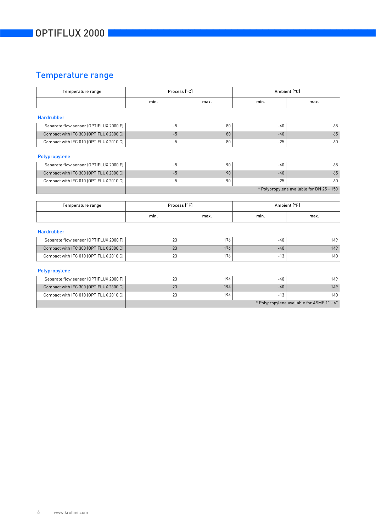# Temperature range

| Temperature range |      | Process [°C] | Ambient [°C] |      |  |
|-------------------|------|--------------|--------------|------|--|
|                   | min. | max.         | min.         | max. |  |

#### Hardrubber

| Separate flow sensor (OPTIFLUX 2000 F) | 80 | -4U |    |
|----------------------------------------|----|-----|----|
| Compact with IFC 300 (OPTIFLUX 2300 C) | 80 | -40 |    |
| Compact with IFC 010 (OPTIFLUX 2010 C) | 80 | -25 | 6U |

#### Polypropylene

| Separate flow sensor (OPTIFLUX 2000 F) |                                           | 90 | -40   |    |  |  |
|----------------------------------------|-------------------------------------------|----|-------|----|--|--|
| Compact with IFC 300 (OPTIFLUX 2300 C) | -5                                        | 90 | -40.  |    |  |  |
| Compact with IFC 010 (OPTIFLUX 2010 C) |                                           | 90 | $-25$ | 60 |  |  |
|                                        | * Polypropylene available for DN 25 - 150 |    |       |    |  |  |

| Temperature range |      | Process [°F] | Ambient [°F <sup>1</sup> |      |  |
|-------------------|------|--------------|--------------------------|------|--|
|                   | min. | max.<br>     | min.                     | max. |  |

#### Hardrubber

| Separate flow sensor (OPTIFLUX 2000 F) | ົາ<br>دے       | 176 | -40   | 49               |
|----------------------------------------|----------------|-----|-------|------------------|
| Compact with IFC 300 (OPTIFLUX 2300 C) | $\Omega$<br>دے | 176 | $-40$ | 149              |
| Compact with IFC 010 (OPTIFLUX 2010 C) | າາ<br>دے       | 176 |       | 140 <sub>1</sub> |

#### Polypropylene

|                                        | * Polypropylene available for ASME 1" - 6" |     |       |     |  |  |
|----------------------------------------|--------------------------------------------|-----|-------|-----|--|--|
| Compact with IFC 010 (OPTIFLUX 2010 C) | 23                                         | 194 | $-13$ | 140 |  |  |
| Compact with IFC 300 (OPTIFLUX 2300 C) | 23                                         | 194 | $-40$ | 149 |  |  |
| Separate flow sensor (OPTIFLUX 2000 F) | 23                                         | 194 | -40   | 149 |  |  |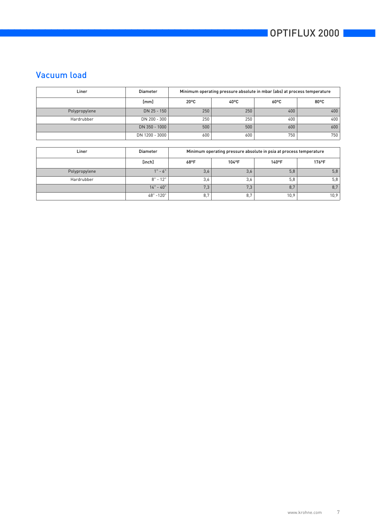# Vacuum load

| Liner         | <b>Diameter</b> | Minimum operating pressure absolute in mbar (abs) at process temperature |                |                                                                    |                |  |  |  |
|---------------|-----------------|--------------------------------------------------------------------------|----------------|--------------------------------------------------------------------|----------------|--|--|--|
|               | [mm]            | $20^{\circ}$ C                                                           | $40^{\circ}$ C | $60^{\circ}$ C                                                     | $80^{\circ}$ C |  |  |  |
| Polypropylene | DN 25 - 150     | 250                                                                      | 250            | 400                                                                | 400            |  |  |  |
| Hardrubber    | DN 200 - 300    | 250                                                                      | 250            | 400                                                                | 400            |  |  |  |
|               | DN 350 - 1000   | 500                                                                      | 500            | 600                                                                | 600            |  |  |  |
|               | DN 1200 - 3000  | 600                                                                      | 600            | 750                                                                | 750            |  |  |  |
|               |                 |                                                                          |                |                                                                    |                |  |  |  |
|               |                 |                                                                          |                |                                                                    |                |  |  |  |
| Liner         | <b>Diameter</b> |                                                                          |                | Minimum operating pressure absolute in psia at process temperature |                |  |  |  |
|               | [inch]          | 68°F                                                                     | 104°F          | 140°F                                                              | 176°F          |  |  |  |
| Polypropylene | $1" - 6"$       | 3,6                                                                      | 3,6            | 5,8                                                                | 5,8            |  |  |  |
| Hardrubber    | $8" - 12"$      | 3,6                                                                      | 3,6            | 5,8                                                                | 5,8            |  |  |  |
|               | $14" - 40"$     | 7,3                                                                      | 7,3            | 8,7                                                                | 8,7            |  |  |  |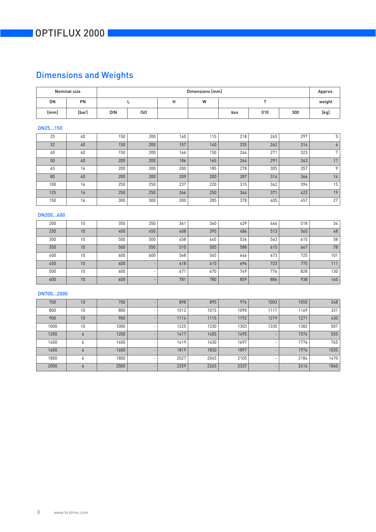# Dimensions and Weights

|           | Nominal size     | Dimensions [mm] |                          |      |      |      |                          | Approx. |                  |
|-----------|------------------|-----------------|--------------------------|------|------|------|--------------------------|---------|------------------|
| DN        | PN               |                 | L                        | H    | W    |      | T                        |         | weight           |
| [mm]      | [bar]            | DIN             | IS <sub>0</sub>          |      |      | box  | 010                      | 300     | [kg]             |
| DN25150   |                  |                 |                          |      |      |      |                          |         |                  |
| 25        | 40               | 150             | 200                      | 140  | 115  | 218  | 245                      | 297     | 5                |
| 32        | 40               | 150             | 200                      | 157  | 140  | 235  | 262                      | 314     | $\boldsymbol{6}$ |
| 40        | 40               | 150             | 200                      | 166  | 150  | 244  | 271                      | 323     | $\sqrt{7}$       |
| 50        | 40               | 200             | 200                      | 186  | 165  | 264  | 291                      | 343     | $11$             |
| 65        | 16               | 200             | 200                      | 200  | 185  | 278  | 305                      | 357     | $\overline{9}$   |
| 80        | 40               | 200             | 200                      | 209  | 200  | 287  | 314                      | 366     | 14               |
| 100       | 16               | 250             | 250                      | 237  | 220  | 315  | 342                      | 394     | 15               |
| 125       | 16               | 250             | 250                      | 266  | 250  | 344  | 371                      | 423     | 19               |
| 150       | 16               | 300             | 300                      | 300  | 285  | 378  | 405                      | 457     | 27               |
| DN200600  |                  |                 |                          |      |      |      |                          |         |                  |
| 200       | 10               | 350             | 350                      | 361  | 340  | 439  | 466                      | 518     | 34               |
| 250       | 10               | 400             | 450                      | 408  | 395  | 486  | 513                      | 565     | $48\,$           |
| 300       | 10               | 500             | 500                      | 458  | 445  | 536  | 563                      | 615     | 58               |
| 350       | $10$             | 500             | 550                      | 510  | 505  | 588  | 615                      | 667     | ${\bf 78}$       |
| 400       | 10               | 600             | 600                      | 568  | 565  | 646  | 673                      | 725     | 101              |
| 450       | 10               | 600             | $\overline{\phantom{a}}$ | 618  | 615  | 696  | 723                      | 775     | 111              |
| 500       | 10               | 600             | ÷,                       | 671  | 670  | 749  | 776                      | 828     | 130              |
| 600       | 10               | 600             |                          | 781  | 780  | 859  | 886                      | 938     | 165              |
| DN7002000 |                  |                 |                          |      |      |      |                          |         |                  |
| 700       | 10               | 700             | J.                       | 898  | 895  | 976  | 1003                     | 1055    | 248              |
| 800       | 10               | 800             |                          | 1012 | 1015 | 1090 | 1117                     | 1169    | 331              |
| 900       | 10               | 900             |                          | 1114 | 1115 | 1192 | 1219                     | 1271    | 430              |
| 1000      | 10               | 1000            | J.                       | 1225 | 1230 | 1303 | 1330                     | 1382    | 507              |
| 1200      | $\boldsymbol{6}$ | 1200            | ÷,                       | 1417 | 1405 | 1495 | $\overline{\phantom{a}}$ | 1574    | 555              |
| 1400      | 6                | 1400            | $\overline{\phantom{a}}$ | 1619 | 1630 | 1697 | $\overline{\phantom{a}}$ | 1776    | 765              |
| 1600      | $\boldsymbol{6}$ | 1600            | ÷,                       | 1819 | 1830 | 1897 | ÷,                       | 1976    | 1035             |
| 1800      | 6                | 1800            | ÷,                       | 2027 | 2045 | 2105 | J.                       | 2184    | 1470             |
| 2000      | $\boldsymbol{6}$ | 2000            | ÷,                       | 2259 | 2265 | 2337 | $\overline{\phantom{a}}$ | 2416    | 1860             |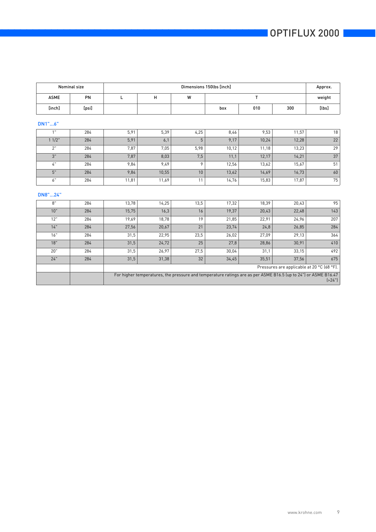# nnnnnn 1000<br>No

|             | <b>Nominal size</b> | Dimensions 150lbs [inch] |                                                                                                                            |      |       |              | Approx.                                    |             |
|-------------|---------------------|--------------------------|----------------------------------------------------------------------------------------------------------------------------|------|-------|--------------|--------------------------------------------|-------------|
| <b>ASME</b> | PN                  | L.                       | H                                                                                                                          | W    |       | $\mathsf{T}$ |                                            | weight      |
| [inch]      | [psi]               |                          |                                                                                                                            |      | box   | 010          | 300                                        | $[l$ bs $]$ |
| DN1"6"      |                     |                          |                                                                                                                            |      |       |              |                                            |             |
| 1"          | 284                 | 5,91                     | 5,39                                                                                                                       | 4,25 | 8,46  | 9,53         | 11,57                                      | 18          |
| 11/2"       | 284                 | 5,91                     | 6,1                                                                                                                        | 5    | 9,17  | 10,24        | 12,28                                      | 22          |
| 2"          | 284                 | 7,87                     | 7,05                                                                                                                       | 5,98 | 10,12 | 11,18        | 13,23                                      | 29          |
| 3"          | 284                 | 7,87                     | 8,03                                                                                                                       | 7,5  | 11,1  | 12,17        | 14,21                                      | 37          |
| 4"          | 284                 | 9,84                     | 9.49                                                                                                                       | 9    | 12,56 | 13,62        | 15,67                                      | 51          |
| 5"          | 284                 | 9,84                     | 10,55                                                                                                                      | 10   | 13,62 | 14,69        | 16,73                                      | 60          |
| 6"          | 284                 | 11,81                    | 11,69                                                                                                                      | 11   | 14,76 | 15,83        | 17,87                                      | 75          |
| DN8"24"     |                     |                          |                                                                                                                            |      |       |              |                                            |             |
| 8"          | 284                 | 13,78                    | 14,25                                                                                                                      | 13,5 | 17,32 | 18,39        | 20,43                                      | 95          |
| 10"         | 284                 | 15,75                    | 16,3                                                                                                                       | 16   | 19,37 | 20,43        | 22,48                                      | 143         |
| 12"         | 284                 | 19,69                    | 18,78                                                                                                                      | 19   | 21,85 | 22,91        | 24,96                                      | 207         |
| 14"         | 284                 | 27,56                    | 20,67                                                                                                                      | 21   | 23,74 | 24,8         | 26,85                                      | 284         |
| 16"         | 284                 | 31,5                     | 22,95                                                                                                                      | 23,5 | 26,02 | 27,09        | 29,13                                      | 364         |
| 18"         | 284                 | 31,5                     | 24,72                                                                                                                      | 25   | 27,8  | 28,86        | 30,91                                      | 410         |
| 20"         | 284                 | 31,5                     | 26,97                                                                                                                      | 27,5 | 30,04 | 31,1         | 33,15                                      | 492         |
| 24"         | 284                 | 31,5                     | 31,38                                                                                                                      | 32   | 34,45 | 35,51        | 37,56                                      | 675         |
|             |                     |                          |                                                                                                                            |      |       |              | Pressures are applicable at 20 °C (68 °F). |             |
|             |                     |                          | For higher temperatures, the pressure and temperature ratings are as per ASME B16.5 (up to 24") or ASME B16.47<br>$[-24"]$ |      |       |              |                                            |             |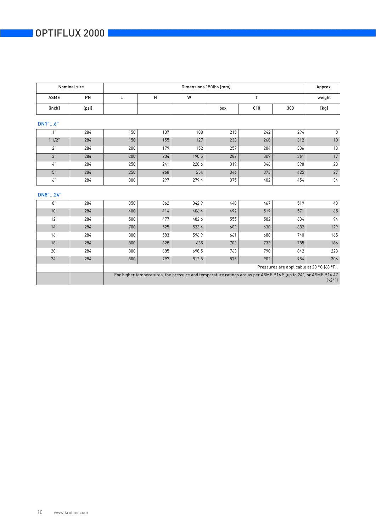|             | <b>Nominal size</b> | Dimensions 150lbs [mm]                                                                                                     |     |       |     |     | Approx.                                    |        |
|-------------|---------------------|----------------------------------------------------------------------------------------------------------------------------|-----|-------|-----|-----|--------------------------------------------|--------|
| <b>ASME</b> | PN                  | L                                                                                                                          | H   | W     |     | T.  |                                            | weight |
| [inch]      | [psi]               |                                                                                                                            |     |       | box | 010 | 300                                        | [kg]   |
| DN1"6"      |                     |                                                                                                                            |     |       |     |     |                                            |        |
| 1"          | 284                 | 150                                                                                                                        | 137 | 108   | 215 | 242 | 294                                        | 8      |
| $11/2$ "    | 284                 | 150                                                                                                                        | 155 | 127   | 233 | 260 | 312                                        | $10\,$ |
| 2"          | 284                 | 200                                                                                                                        | 179 | 152   | 257 | 284 | 336                                        | $13\,$ |
| 3"          | 284                 | 200                                                                                                                        | 204 | 190,5 | 282 | 309 | 361                                        | 17     |
| 4"          | 284                 | 250                                                                                                                        | 241 | 228,6 | 319 | 346 | 398                                        | 23     |
| 5"          | 284                 | 250                                                                                                                        | 268 | 254   | 346 | 373 | 425                                        | $27\,$ |
| 6"          | 284                 | 300                                                                                                                        | 297 | 279,4 | 375 | 402 | 454                                        | 34     |
| DN8"24"     |                     |                                                                                                                            |     |       |     |     |                                            |        |
| 8"          | 284                 | 350                                                                                                                        | 362 | 342,9 | 440 | 467 | 519                                        | 43     |
| 10"         | 284                 | 400                                                                                                                        | 414 | 406,4 | 492 | 519 | 571                                        | $65$   |
| 12"         | 284                 | 500                                                                                                                        | 477 | 482,6 | 555 | 582 | 634                                        | 94     |
| 14"         | 284                 | 700                                                                                                                        | 525 | 533,4 | 603 | 630 | 682                                        | 129    |
| 16"         | 284                 | 800                                                                                                                        | 583 | 596,9 | 661 | 688 | 740                                        | 165    |
| 18"         | 284                 | 800                                                                                                                        | 628 | 635   | 706 | 733 | 785                                        | 186    |
| 20"         | 284                 | 800                                                                                                                        | 685 | 698,5 | 763 | 790 | 842                                        | 223    |
| 24"         | 284                 | 800                                                                                                                        | 797 | 812,8 | 875 | 902 | 954                                        | 306    |
|             |                     |                                                                                                                            |     |       |     |     | Pressures are applicable at 20 °C (68 °F). |        |
|             |                     | For higher temperatures, the pressure and temperature ratings are as per ASME B16.5 (up to 24") or ASME B16.47<br>$[-24"]$ |     |       |     |     |                                            |        |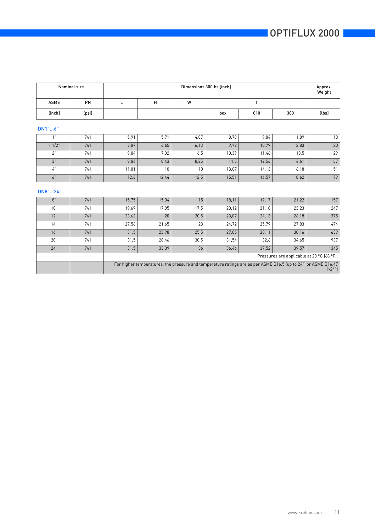# nnnnnn 1000<br>No

|             | Nominal size |       | Dimensions 300lbs [inch] |      |       |       |       |          |  |
|-------------|--------------|-------|--------------------------|------|-------|-------|-------|----------|--|
| <b>ASME</b> | PN           | L     | Н                        | W    |       | T     |       |          |  |
| [inch]      | [psi]        |       |                          |      | box   | 010   | 300   | $[l$ bs] |  |
| DN1"6"      |              |       |                          |      |       |       |       |          |  |
| 1"          | 741          | 5,91  | 5,71                     | 4,87 | 8,78  | 9,84  | 11,89 | 18       |  |
| 11/2"       | 741          | 7,87  | 6,65                     | 6,13 | 9,72  | 10,79 | 12,83 | $20\,$   |  |
| 2"          | 741          | 9,84  | 7,32                     | 6,5  | 10,39 | 11,46 | 13,5  | 29       |  |
| 3"          | 741          | 9,84  | 8,43                     | 8,25 | 11,5  | 12,56 | 14,61 | 37       |  |
| $4"$        | 741          | 11,81 | 10                       | 10   | 13,07 | 14,13 | 16,18 | 51       |  |
| $6"$        | 741          | 12,6  | 12,44                    | 12,5 | 15,51 | 16,57 | 18,62 | 79       |  |
| DN8"24"     |              |       |                          |      |       |       |       |          |  |
| 8"          | 741          | 15,75 | 15,04                    | 15   | 18,11 | 19,17 | 21,22 | 157      |  |
| 10"         | 741          | 19,69 | 17,05                    | 17,5 | 20,12 | 21,18 | 23,23 | 247      |  |
|             |              |       |                          |      |       |       |       |          |  |

| 12" | 741 | 23,62 | 20                                                                                                                         | 20,5 | 23,07 | 24,13 | 26,18                                      | 375  |  |  |
|-----|-----|-------|----------------------------------------------------------------------------------------------------------------------------|------|-------|-------|--------------------------------------------|------|--|--|
| 14" | 741 | 27.56 | 21,65                                                                                                                      | 23   | 24,72 | 25,79 | 27,83                                      | 474  |  |  |
| 16" | 741 | 31,5  | 23,98                                                                                                                      | 25,5 | 27,05 | 28,11 | 30,16                                      | 639  |  |  |
| 20" | 741 | 31,5  | 28,46                                                                                                                      | 30,5 | 31,54 | 32,6  | 34,65                                      | 937  |  |  |
| 24" | 741 | 31,5  | 33,39                                                                                                                      | 36   | 36,46 | 37.52 | 39,57                                      | 1345 |  |  |
|     |     |       |                                                                                                                            |      |       |       | Pressures are applicable at 20 °C (68 °F). |      |  |  |
|     |     |       | For higher temperatures, the pressure and temperature ratings are as per ASME B16.5 (up to 24") or ASME B16.47<br>$[-24"]$ |      |       |       |                                            |      |  |  |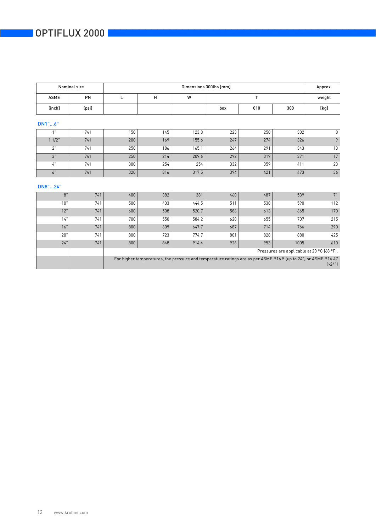| <b>Nominal size</b> |       | Dimensions 300lbs [mm]                                                                                                     |     |       |              |     |      | Approx.     |
|---------------------|-------|----------------------------------------------------------------------------------------------------------------------------|-----|-------|--------------|-----|------|-------------|
| <b>ASME</b>         | PN    | L                                                                                                                          | H   | W     | $\mathsf{T}$ |     |      | weight      |
| [inch]              | [psi] |                                                                                                                            |     |       | box          | 010 | 300  | [kg]        |
| DN1"6"              |       |                                                                                                                            |     |       |              |     |      |             |
| 1"                  | 741   | 150                                                                                                                        | 145 | 123,8 | 223          | 250 | 302  | 8           |
| $11/2$ "            | 741   | 200                                                                                                                        | 169 | 155,6 | 247          | 274 | 326  | $\mathbf 9$ |
| 2"                  | 741   | 250                                                                                                                        | 186 | 165,1 | 264          | 291 | 343  | $13\,$      |
| 3"                  | 741   | 250                                                                                                                        | 214 | 209,6 | 292          | 319 | 371  | 17          |
| 4"                  | 741   | 300                                                                                                                        | 254 | 254   | 332          | 359 | 411  | 23          |
| 6"                  | 741   | 320                                                                                                                        | 316 | 317,5 | 394          | 421 | 473  | 36          |
| DN8"24"             |       |                                                                                                                            |     |       |              |     |      |             |
| 8"                  | 741   | 400                                                                                                                        | 382 | 381   | 460          | 487 | 539  | 71          |
| 10"                 | 741   | 500                                                                                                                        | 433 | 444,5 | 511          | 538 | 590  | 112         |
| 12"                 | 741   | 600                                                                                                                        | 508 | 520,7 | 586          | 613 | 665  | 170         |
| 14"                 | 741   | 700                                                                                                                        | 550 | 584,2 | 628          | 655 | 707  | 215         |
| 16"                 | 741   | 800                                                                                                                        | 609 | 647,7 | 687          | 714 | 766  | 290         |
| 20"                 | 741   | 800                                                                                                                        | 723 | 774,7 | 801          | 828 | 880  | 425         |
| 24"                 | 741   | 800                                                                                                                        | 848 | 914,4 | 926          | 953 | 1005 | 610         |
|                     |       | Pressures are applicable at 20 °C (68 °F).                                                                                 |     |       |              |     |      |             |
|                     |       | For higher temperatures, the pressure and temperature ratings are as per ASME B16.5 (up to 24") or ASME B16.47<br>$[-24"]$ |     |       |              |     |      |             |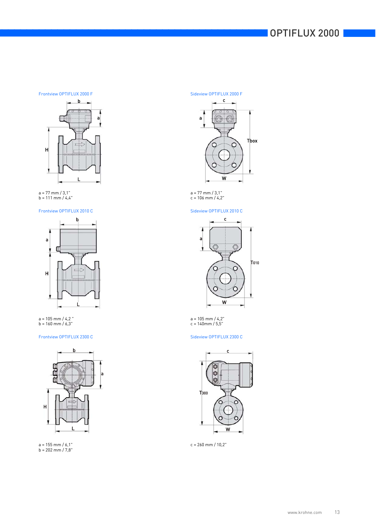## nnnnnn 100<br>No

#### Frontview OPTIFLUX 2000 F Sideview OPTIFLUX 2000 F



a = 77 mm / 3,1" b = 111 mm / 4,4"

#### Frontview OPTIFLUX 2010 C<br>
Sideview OPTIFLUX 2010 C





#### Frontview OPTIFLUX 2300 C Sideview OPTIFLUX 2300 C







a = 77 mm / 3,1" c = 106 mm / 4,2"



a = 105 mm / 4,2" c = 140mm / 5,5"



c = 260 mm / 10,2"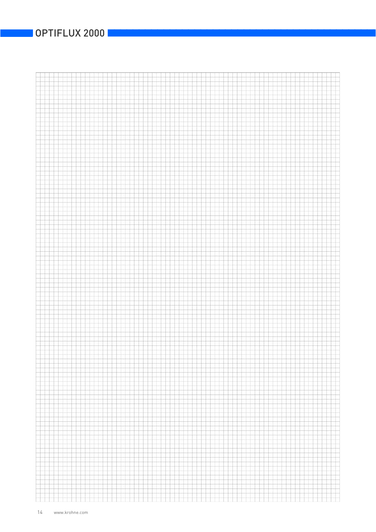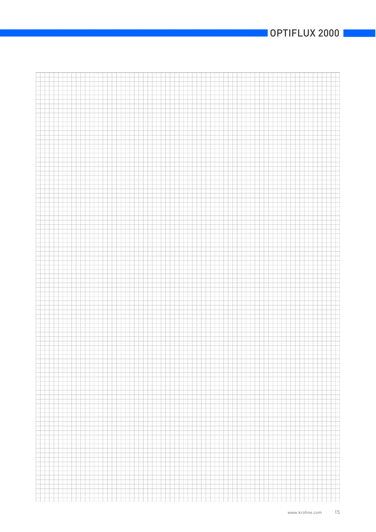# ţ Щ L 1 t Ц ļ l

I

т

t

т